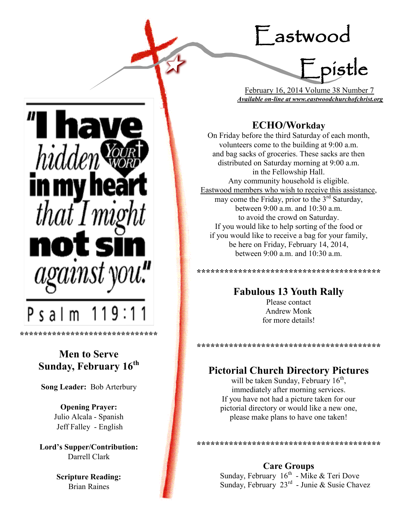# Eastwood

Epistle

 February 16, 2014 Volume 38 Number 7 *Available on-line at www.eastwoodchurchofchrist.org*

# **ECHO/Workday**

On Friday before the third Saturday of each month, volunteers come to the building at 9:00 a.m. and bag sacks of groceries. These sacks are then distributed on Saturday morning at 9:00 a.m. in the Fellowship Hall. Any community household is eligible. Eastwood members who wish to receive this assistance, may come the Friday, prior to the  $3<sup>rd</sup>$  Saturday, between 9:00 a.m. and 10:30 a.m. to avoid the crowd on Saturday. If you would like to help sorting of the food or if you would like to receive a bag for your family, be here on Friday, February 14, 2014, between 9:00 a.m. and 10:30 a.m.

**Fabulous 13 Youth Rally**

**\*\*\*\*\*\*\*\*\*\*\*\*\*\*\*\*\*\*\*\*\*\*\*\*\*\*\*\*\*\*\*\*\*\*\*\*\*\*\*\***

Please contact Andrew Monk for more details!

#### **\*\*\*\*\*\*\*\*\*\*\*\*\*\*\*\*\*\*\*\*\*\*\*\*\*\*\*\*\*\*\*\*\*\*\*\*\*\*\*\***

# **Pictorial Church Directory Pictures**

will be taken Sunday, February  $16<sup>th</sup>$ , immediately after morning services. If you have not had a picture taken for our pictorial directory or would like a new one, please make plans to have one taken!

**\*\*\*\*\*\*\*\*\*\*\*\*\*\*\*\*\*\*\*\*\*\*\*\*\*\*\*\*\*\*\*\*\*\*\*\*\*\*\*\***

**Care Groups**

Sunday, February  $16<sup>th</sup>$  - Mike & Teri Dove Sunday, February 23<sup>rd</sup> - Junie & Susie Chavez

*hidde* in my  $that Imi$  $P$  s a  $I$  m

**\*\*\*\*\*\*\*\*\*\*\*\*\*\*\*\*\*\*\*\*\*\*\*\*\*\*\*\*\*\***

# **Men to Serve Sunday, February 16th**

**Song Leader:** Bob Arterbury

**Opening Prayer:** Julio Alcala - Spanish Jeff Falley - English

**Lord's Supper/Contribution:**  Darrell Clark

> **Scripture Reading:**  Brian Raines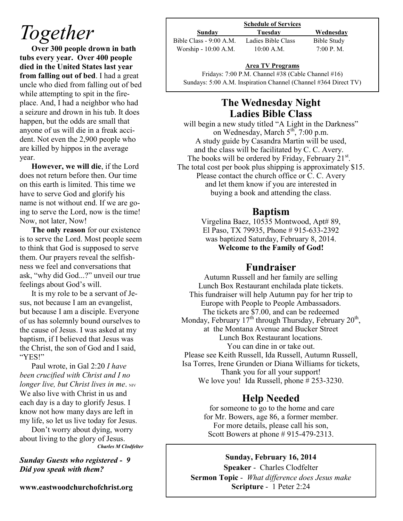# *Together*

**Over 300 people drown in bath tubs every year. Over 400 people died in the United States last year from falling out of bed**. I had a great uncle who died from falling out of bed while attempting to spit in the fireplace. And, I had a neighbor who had a seizure and drown in his tub. It does happen, but the odds are small that anyone of us will die in a freak accident. Not even the 2,900 people who are killed by hippos in the average year.

**However, we will die**, if the Lord does not return before then. Our time on this earth is limited. This time we have to serve God and glorify his name is not without end. If we are going to serve the Lord, now is the time! Now, not later, Now!

**The only reason** for our existence is to serve the Lord. Most people seem to think that God is supposed to serve them. Our prayers reveal the selfishness we feel and conversations that ask, "why did God...?" unveil our true feelings about God's will.

It is my role to be a servant of Jesus, not because I am an evangelist, but because I am a disciple. Everyone of us has solemnly bound ourselves to the cause of Jesus. I was asked at my baptism, if I believed that Jesus was the Christ, the son of God and I said, "YES!"

Paul wrote, in Gal 2:20 *I have been crucified with Christ and I no longer live, but Christ lives in me.* NIV We also live with Christ in us and each day is a day to glorify Jesus. I know not how many days are left in my life, so let us live today for Jesus.

Don't worry about dying, worry about living to the glory of Jesus. *Charles M Clodfelter*

*Sunday Guests who registered - 9 Did you speak with them?*

**www.eastwoodchurchofchrist.org**

#### **Schedule of Services Sunday Tuesday Wednesday** Bible Class - 9:00 A.M. Ladies Bible Class Bible Study Worship - 10:00 A.M. 10:00 A.M. 7:00 P.M.

#### $\frac{P}{e}$ **Area TV Programs**

Fridays: 7:00 P.M. Channel #38 (Cable Channel #16) Sundays: 5:00 A.M. Inspiration Channel (Channel #364 Direct TV)

## **The Wednesday Night Ladies Bible Class**

will begin a new study titled "A Light in the Darkness" on Wednesday, March  $5^{\text{th}}$ , 7:00 p.m. A study guide by Casandra Martin will be used, and the class will be facilitated by C. C. Avery. The books will be ordered by Friday, February  $21^{st}$ . The total cost per book plus shipping is approximately \$15. Please contact the church office or C. C. Avery and let them know if you are interested in buying a book and attending the class.

## **Baptism**

Virgelina Baez, 10535 Montwood, Apt# 89, El Paso, TX 79935, Phone # 915-633-2392 was baptized Saturday, February 8, 2014. **Welcome to the Family of God!** 

### **Fundraiser**

Autumn Russell and her family are selling Lunch Box Restaurant enchilada plate tickets. This fundraiser will help Autumn pay for her trip to Europe with People to People Ambassadors. The tickets are \$7.00, and can be redeemed Monday, February  $17<sup>th</sup>$  through Thursday, February  $20<sup>th</sup>$ , at the Montana Avenue and Bucker Street Lunch Box Restaurant locations. You can dine in or take out. Please see Keith Russell, Ida Russell, Autumn Russell, Isa Torres, Irene Grunden or Diana Williams for tickets, Thank you for all your support! We love you! Ida Russell, phone # 253-3230.

# **Help Needed**

for someone to go to the home and care for Mr. Bowers, age 86, a former member. For more details, please call his son, Scott Bowers at phone # 915-479-2313.

### **Sunday, February 16, 2014**

**Speaker** - Charles Clodfelter **Sermon Topic** - *What difference does Jesus make*  **Scripture** - 1 Peter 2:24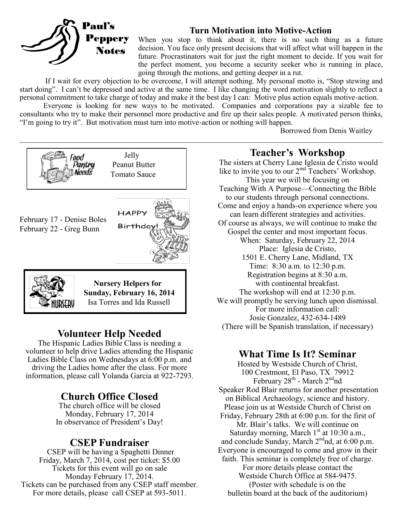

### **Turn Motivation into Motive-Action**

When you stop to think about it, there is no such thing as a future decision. You face only present decisions that will affect what will happen in the future. Procrastinators wait for just the right moment to decide. If you wait for the perfect moment, you become a security seeker who is running in place, going through the motions, and getting deeper in a rut.

If I wait for every objection to be overcome, I will attempt nothing. My personal motto is, "Stop stewing and start doing". I can't be depressed and active at the same time. I like changing the word motivation slightly to reflect a personal commitment to take charge of today and make it the best day I can: Motive plus action equals motive-action.

Everyone is looking for new ways to be motivated. Companies and corporations pay a sizable fee to consultants who try to make their personnel more productive and fire up their sales people. A motivated person thinks, "I'm going to try it". But motivation must turn into motive-action or nothing will happen.

Borrowed from Denis Waitley



## **Volunteer Help Needed**

The Hispanic Ladies Bible Class is needing a volunteer to help drive Ladies attending the Hispanic Ladies Bible Class on Wednesdays at 6:00 p.m. and driving the Ladies home after the class. For more information, please call Yolanda Garcia at 922-7293.

# **Church Office Closed**

The church office will be closed Monday, February 17, 2014 In observance of President's Day!

## **CSEP Fundraiser**

CSEP will be having a Spaghetti Dinner Friday, March 7, 2014, cost per ticket: \$5.00 Tickets for this event will go on sale Monday February 17, 2014. Tickets can be purchased from any CSEP staff member. For more details, please call CSEP at 593-5011.

**Teacher's Workshop**

The sisters at Cherry Lane Iglesia de Cristo would like to invite you to our  $2^{md}$  Teachers' Workshop. This year we will be focusing on Teaching With A Purpose—Connecting the Bible to our students through personal connections. Come and enjoy a hands-on experience where you can learn different strategies and activities. Of course as always, we will continue to make the Gospel the center and most important focus. When: Saturday, February 22, 2014 Place: Iglesia de Cristo, 1501 E. Cherry Lane, Midland, TX Time: 8:30 a.m. to 12:30 p.m. Registration begins at 8:30 a.m. with continental breakfast. The workshop will end at 12:30 p.m. We will promptly be serving lunch upon dismissal. For more information call: Josie Gonzalez, 432-634-1489 (There will be Spanish translation, if necessary)

## **What Time Is It? Seminar**

Hosted by Westside Church of Christ, 100 Crestmont, El Paso, TX 79912 February 28<sup>th</sup> - March 2<sup>nd</sup>nd Speaker Rod Blair returns for another presentation on Biblical Archaeology, science and history. Please join us at Westside Church of Christ on Friday, February 28th at 6:00 p.m. for the first of Mr. Blair's talks. We will continue on Saturday morning, March  $1<sup>st</sup>$  at 10:30 a.m., and conclude Sunday, March  $2<sup>nd</sup>$ nd, at 6:00 p.m. Everyone is encouraged to come and grow in their faith. This seminar is completely free of charge. For more details please contact the Westside Church Office at 584-9475. (Poster with schedule is on the bulletin board at the back of the auditorium)